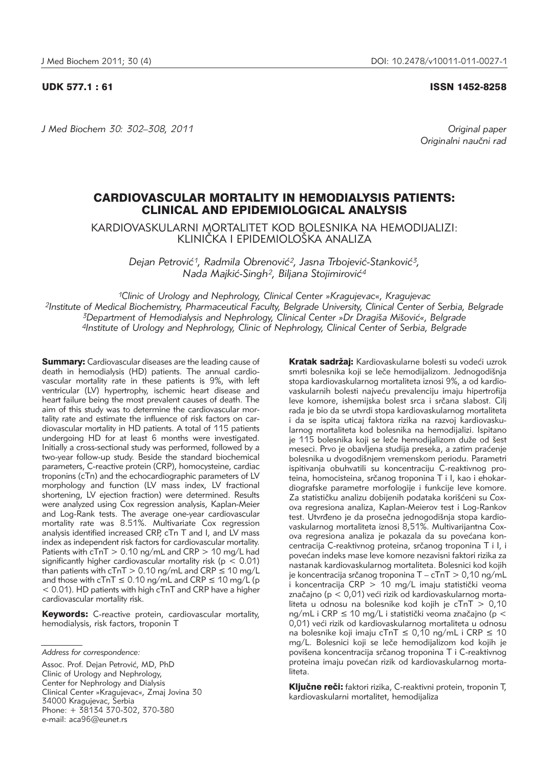# UDK 577.1 : 61 ISSN 1452-8258

*J Med Biochem 30: 302–308, 2011 Original paper*

Originalni naučni rad

# CARDIOVASCULAR MORTALITY IN HEMODIALYSIS PATIENTS: CLINICAL AND EPIDEMIOLOGICAL ANALYSIS

KARDIOVASKULARNI MORTALITET KOD BOLESNIKA NA HEMODIJALIZI: KLINIČKA I EPIDEMIOLOŠKA ANALIZA

> Dejan Petrović<sup>1</sup>, Radmila Obrenović<sup>2</sup>, Jasna Trbojević-Stanković<sup>3</sup>, *Nada Majki}-Singh2, Biljana Stojimirovi}4*

*1Clinic of Urology and Nephrology, Clinical Center »Kragujevac«, Kragujevac 2Institute of Medical Biochemistry, Pharmaceutical Faculty, Belgrade University, Clinical Center of Serbia, Belgrade* <sup>3</sup>Department of Hemodialysis and Nephrology, Clinical Center »Dr Dragiša Mišović«, Belgrade *4Institute of Urology and Nephrology, Clinic of Nephrology, Clinical Center of Serbia, Belgrade*

**Summary:** Cardiovascular diseases are the leading cause of death in hemodialysis (HD) patients. The annual cardiovascular mortality rate in these patients is 9%, with left ventricular (LV) hypertrophy, ischemic heart disease and heart failure being the most prevalent causes of death. The aim of this study was to determine the cardiovascular mortality rate and estimate the influence of risk factors on cardiovascular mortality in HD patients. A total of 115 patients undergoing HD for at least 6 months were investigated. Initially a cross-sectional study was performed, followed by a two-year follow-up study. Beside the standard biochemical parameters, C-reactive protein (CRP), homocysteine, cardiac troponins (cTn) and the echocardiographic parameters of LV morphology and function (LV mass index, LV fractional shortening, LV ejection fraction) were determined. Results were analyzed using Cox regression analysis, Kaplan-Meier and Log-Rank tests. The average one-year cardiovascular mortality rate was 8.51%. Multivariate Cox regression analysis identified increased CRP, cTn T and I, and LV mass index as independent risk factors for cardiovascular mortality. Patients with  $cTnT > 0.10$  ng/mL and CRP  $> 10$  mg/L had significantly higher cardiovascular mortality risk ( $p < 0.01$ ) than patients with  $cTnT > 0.10$  ng/mL and CRP  $\leq 10$  mg/L and those with cTnT  $\leq$  0.10 ng/mL and CRP  $\leq$  10 mg/L (p  $<$  0.01). HD patients with high cTnT and CRP have a higher cardiovascular mortality risk.

Keywords: C-reactive protein, cardiovascular mortality, hemodialysis, risk factors, troponin T

Assoc. Prof. Dejan Petrović, MD, PhD Clinic of Urology and Nephrology, Center for Nephrology and Dialysis Clinical Center »Kragujevac«, Zmaj Jovina 30 34000 Kragujevac, Serbia Phone: + 38134 370-302, 370-380 e-mail: aca96@eunet.rs

Kratak sadržaj: Kardiovaskularne bolesti su vodeći uzrok smrti bolesnika koji se leče hemodijalizom. Jednogodišnja stopa kardiovaskularnog mortaliteta iznosi 9%, a od kardio vaskularnih bolesti najveću prevalenciju imaju hipertrofija leve komore, ishemijska bolest srca i srčana slabost. Cilj rada je bio da se utvrdi stopa kardiovaskularnog mortaliteta i da se ispita uticaj faktora rizika na razvoj kardiovaskularnog mortaliteta kod bolesnika na hemodijalizi. Ispitano je 115 bolesnika koji se leče hemodijalizom duže od šest meseci. Prvo je obavljena studija preseka, a zatim praćenje bolesnika u dvogodišnjem vremenskom periodu. Parametri ispitivanja obuhvatili su koncentraciju C-reaktivnog proteina, homocisteina, srčanog troponina T i I, kao i ehokardiografske parametre morfologije i funkcije leve komore. Za statističku analizu dobijenih podataka korišćeni su Coxova regresiona analiza, Kaplan-Meierov test i Log-Rankov test. Utvrđeno je da prosečna jednogodišnja stopa kardiovaskularnog mortaliteta iznosi 8,51%. Multivarijantna Coxova regresiona analiza je pokazala da su povećana koncentracija C-reaktivnog proteina, srčanog troponina T i I, i povećan indeks mase leve komore nezavisni faktori rizika za nastanak kardiovaskularnog mortaliteta. Bolesnici kod kojih je koncentracija srčanog troponina  $T - cTnT > 0,10$  ng/mL  $i$  koncentracija CRP  $> 10$  mg/L imaju statistički veoma značajno (p < 0,01) veći rizik od kardiovaskularnog mortaliteta u odnosu na bolesnike kod kojih je cTnT > 0,10 ng/mL i CRP  $\leq$  10 mg/L i statistički veoma značajno (p < 0,01) veći rizik od kardiovaskularnog mortaliteta u odnosu na bolesnike koji imaju cTnT ≤ 0,10 ng/mL i CRP ≤ 10 mg/L. Bolesnici koji se leče hemodijalizom kod kojih je povišena koncentracija srčanog troponina T i C-reaktivnog proteina imaju povećan rizik od kardiovaskularnog mortaliteta.

Ključne reči: faktori rizika, C-reaktivni protein, troponin T, kardiovaskularni mortalitet, hemodijaliza

*Address for correspondence:*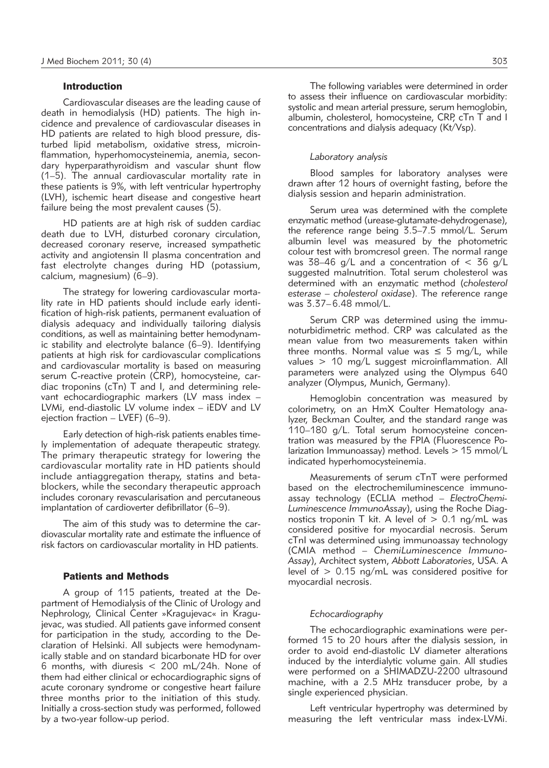#### **Introduction**

Cardiovascular diseases are the leading cause of death in hemodialysis (HD) patients. The high incidence and prevalence of cardiovascular diseases in HD patients are related to high blood pressure, disturbed lipid metabolism, oxidative stress, microinflammation, hyperhomocysteinemia, anemia, secondary hyperparathyroidism and vascular shunt flow (1–5). The annual cardiovascular mortality rate in these patients is 9%, with left ventricular hypertrophy (LVH), ischemic heart disease and congestive heart failure being the most prevalent causes (5).

HD patients are at high risk of sudden cardiac death due to LVH, disturbed coronary circulation, decreased coronary reserve, increased sympathetic activity and angiotensin II plasma concentration and fast electrolyte changes during HD (potassium, calcium, magnesium) (6–9).

The strategy for lowering cardiovascular mortality rate in HD patients should include early identification of high-risk patients, permanent evaluation of dialysis adequacy and individually tailoring dialysis conditions, as well as maintaining better hemodynamic stability and electrolyte balance (6–9). Identifying patients at high risk for cardiovascular complications and cardiovascular mortality is based on measuring serum C-reactive protein (CRP), homocysteine, cardiac troponins (cTn) T and I, and determining relevant echocardiographic markers (LV mass index – LVMi, end-diastolic LV volume index – iEDV and LV ejection fraction – LVEF) (6–9).

Early detection of high-risk patients enables timely implementation of adequate therapeutic strategy. The primary therapeutic strategy for lowering the cardiovascular mortality rate in HD patients should include antiaggregation therapy, statins and betablockers, while the secondary therapeutic approach includes coronary revascularisation and percutaneous implantation of cardioverter defibrillator (6-9).

The aim of this study was to determine the cardiovascular mortality rate and estimate the influence of risk factors on cardiovascular mortality in HD patients.

### Patients and Methods

A group of 115 patients, treated at the Department of Hemodialysis of the Clinic of Urology and Nephrology, Clinical Center »Kragujevac« in Kragujevac, was studied. All patients gave informed consent for participation in the study, according to the Declaration of Helsinki. All subjects were hemodynam ically stable and on standard bicarbonate HD for over 6 months, with diuresis < 200 mL/24h. None of them had either clinical or echocardiographic signs of acute coronary syndrome or congestive heart failure three months prior to the initiation of this study. Initially a cross-section study was performed, followed by a two-year follow-up period.

The following variables were determined in order to assess their influence on cardiovascular morbidity: systolic and mean arterial pressure, serum hemoglobin, albumin, cholesterol, homocysteine, CRP, cTn T and I concentrations and dialysis adequacy (Kt/Vsp).

### *Laboratory analysis*

Blood samples for laboratory analyses were drawn after 12 hours of overnight fasting, before the dialysis session and heparin administration.

Serum urea was determined with the complete enzymatic method (urease-glutamate-dehydrogenase), the reference range being 3.5–7.5 mmol/L. Serum albumin level was measured by the photometric colour test with bromcresol green. The normal range was 38-46 g/L and a concentration of  $<$  36 g/L suggested malnutrition. Total serum cholesterol was determined with an enzymatic method (*cholesterol esterase – cholesterol oxidase*). The reference range was 3.37–6.48 mmol/L.

Serum CRP was determined using the immunoturbidimetric method. CRP was calculated as the mean value from two measurements taken within three months. Normal value was  $\leq$  5 mg/L, while values > 10 mg/L suggest microinflammation. All parameters were analyzed using the Olympus 640 analyzer (Olympus, Munich, Germany).

Hemoglobin concentration was measured by colorimetry, on an HmX Coulter Hematology analyzer, Beckman Coulter, and the standard range was 110–180 g/L. Total serum homocysteine concentration was measured by the FPIA (Fluorescence Polarization Immunoassay) method. Levels  $> 15$  mmol/L indicated hyperhomocysteinemia.

Measurements of serum cTnT were performed based on the electrochemiluminescence immunoassay technology (ECLIA method – *ElectroChemi -* Luminescence ImmunoAssay), using the Roche Diagnostics troponin T kit. A level of  $> 0.1$  ng/mL was considered positive for myocardial necrosis. Serum cTnI was determined using immunoassay technology (CMIA method – *ChemiLuminescence Immuno -* Assay), Architect system, Abbott Laboratories, USA. A level of  $> 0.15$  ng/mL was considered positive for myocardial necrosis.

# *Echocardiography*

The echocardiographic examinations were performed 15 to 20 hours after the dialysis session, in order to avoid end-diastolic LV diameter alterations induced by the interdialytic volume gain. All studies were performed on a SHIMADZU-2200 ultrasound machine, with a 2.5 MHz transducer probe, by a single experienced physician.

Left ventricular hypertrophy was determined by measuring the left ventricular mass index-LVMi.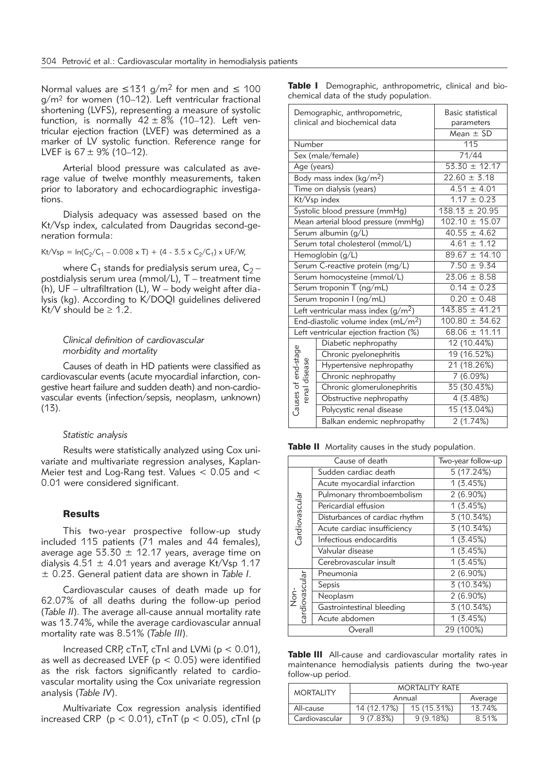Normal values are ≤131 g/m<sup>2</sup> for men and ≤ 100 g/m2 for women (10–12). Left ventricular fractional shortening (LVFS), representing a measure of systolic function, is normally  $42 \pm 8\%$  (10-12). Left ventricular ejection fraction (LVEF) was determined as a marker of LV systolic function. Reference range for LVEF is  $67 \pm 9\%$  (10–12).

Arterial blood pressure was calculated as average value of twelve monthly measurements, taken prior to laboratory and echocardiographic investigations.

Dialysis adequacy was assessed based on the Kt/Vsp index, calculated from Daugridas second-generation formula:

 $Kt/Vsp = ln(C_2/C_1 - 0.008 \times T) + (4 - 3.5 \times C_2/C_1) \times UF/W$ ,

where  $C_1$  stands for predialysis serum urea,  $C_2$  – postdialysis serum urea (mmol/L), T – treatment time (h), UF – ultrafiltration (L), W – body weight after dia lysis (kg). According to K/DOQI guidelines delivered Kt/V should be  $\geq 1.2$ .

### *Clinical definition of cardiovascular morbidity and mortality*

Causes of death in HD patients were classified as cardiovascular events (acute myocardial infarction, congestive heart failure and sudden death) and non-cardio vascular events (infection/sepsis, neoplasm, unknown) (13).

#### *Statistic analysis*

Results were statistically analyzed using Cox univariate and multivariate regression analyses, Kaplan-Meier test and Log-Rang test. Values < 0.05 and < 0.01 were considered significant.

#### **Results**

This two-year prospective follow-up study included 115 patients (71 males and 44 females), average age  $53.30 \pm 12.17$  years, average time on dialysis  $4.51 \pm 4.01$  years and average Kt/Vsp 1.17 ± 0.23. General patient data are shown in *Table I*.

Cardiovascular causes of death made up for 62.07% of all deaths during the follow-up period (*Table II*). The average all-cause annual mortality rate was 13.74%, while the average cardiovascular annual mortality rate was 8.51% (*Table III*).

Increased CRP,  $cTnT$ ,  $cTnI$  and LVMi ( $p < 0.01$ ), as well as decreased LVEF ( $p < 0.05$ ) were identified as the risk factors significantly related to cardiovascular mortality using the Cox univariate regression analysis (*Table IV*).

Multivariate Cox regression analysis identified increased CRP ( $p < 0.01$ ), cTnT ( $p < 0.05$ ), cTnI ( $p$ 

|                                        | Table I Demographic, anthropometric, clinical and bio- |  |  |
|----------------------------------------|--------------------------------------------------------|--|--|
| chemical data of the study population. |                                                        |  |  |

|                     | Demographic, anthropometric,<br>clinical and biochemical data | Basic statistical<br>parameters |  |  |  |
|---------------------|---------------------------------------------------------------|---------------------------------|--|--|--|
|                     |                                                               | Mean $\pm$ SD                   |  |  |  |
| Number              |                                                               | 115                             |  |  |  |
|                     | Sex (male/female)                                             | 71/44                           |  |  |  |
| Age (years)         |                                                               | $53.30 \pm 12.17$               |  |  |  |
|                     | Body mass index (kg/m <sup>2</sup> )                          | $22.60 \pm 3.18$                |  |  |  |
|                     | Time on dialysis (years)                                      | $4.51 \pm 4.01$                 |  |  |  |
|                     | Kt/Vsp index                                                  | $1.17 \pm 0.23$                 |  |  |  |
|                     | Systolic blood pressure (mmHg)                                | $138.13 \pm 20.95$              |  |  |  |
|                     | Mean arterial blood pressure (mmHq)                           | $102.10 \pm 15.07$              |  |  |  |
|                     | Serum albumin (g/L)                                           | $40.55 \pm 4.62$                |  |  |  |
|                     | Serum total cholesterol (mmol/L)                              | $4.61 \pm 1.12$                 |  |  |  |
| Hemoglobin (g/L)    |                                                               | $89.67 \pm 14.10$               |  |  |  |
|                     | Serum C-reactive protein (mg/L)                               | $7.50 \pm 9.34$                 |  |  |  |
|                     | Serum homocysteine (mmol/L)                                   | $23.06 \pm 8.58$                |  |  |  |
|                     | Serum troponin T (ng/mL)                                      | $0.14 \pm 0.23$                 |  |  |  |
|                     | Serum troponin I (ng/mL)                                      | $0.20 \pm 0.48$                 |  |  |  |
|                     | Left ventricular mass index $(g/m^2)$                         | $143.85 \pm 41.21$              |  |  |  |
|                     | End-diastolic volume index (mL/m <sup>2</sup> )               | $100.80 \pm 34.62$              |  |  |  |
|                     | Left ventricular ejection fraction (%)                        | $68.06 \pm 11.11$               |  |  |  |
|                     | Diabetic nephropathy                                          | 12 (10.44%)                     |  |  |  |
|                     | Chronic pyelonephritis                                        | 19 (16.52%)                     |  |  |  |
|                     | Hypertensive nephropathy                                      | 21 (18.26%)                     |  |  |  |
| renal disease       | Chronic nephropathy                                           | 7(6.09%)                        |  |  |  |
|                     | Chronic glomerulonephritis                                    | 35 (30.43%)                     |  |  |  |
|                     | Obstructive nephropathy                                       | 4 (3.48%)                       |  |  |  |
| Causes of end-stage | Polycystic renal disease                                      | 15 (13.04%)                     |  |  |  |
|                     | Balkan endemic nephropathy                                    | 2(1.74%)                        |  |  |  |

Table II Mortality causes in the study population.

|                                        | Cause of death                 | Two-year follow-up      |
|----------------------------------------|--------------------------------|-------------------------|
|                                        | Sudden cardiac death           | 5 (17.24%)              |
|                                        | Acute myocardial infarction    | 1(3.45%)                |
| Cardiovascular<br>Pericardial effusion | Pulmonary thromboembolism      | $2(6.90\%)$             |
|                                        |                                | 1(3.45%)                |
|                                        | Disturbances of cardiac rhythm | $\overline{3}$ (10.34%) |
|                                        | Acute cardiac insufficiency    | 3 (10.34%)              |
|                                        | Infectious endocarditis        | 1(3.45%)                |
|                                        | Valvular disease               | 1(3.45%)                |
|                                        | Cerebrovascular insult         | 1(3.45%)                |
|                                        | Pneumonia                      | $2(6.90\%)$             |
|                                        | Sepsis                         | 3 (10.34%)              |
| cardiovascular<br>έ<br>Ζ               | Neoplasm                       | $2(6.90\%)$             |
|                                        | Gastrointestinal bleeding      | 3 (10.34%)              |
|                                        | Acute abdomen                  | 1(3.45%)                |
|                                        | Overall                        | 29 (100%)               |

Table III All-cause and cardiovascular mortality rates in maintenance hemodialysis patients during the two-year follow-up period.

| <b>MORTALITY</b> | <b>MORTALITY RATE</b> |             |        |  |  |
|------------------|-----------------------|-------------|--------|--|--|
|                  | Annual                | Average     |        |  |  |
| All-cause        | 14 (12.17%)           | 15 (15.31%) | 13.74% |  |  |
| Cardiovascular   | 9(7.83%)<br>9(9.18%)  |             | 8.51%  |  |  |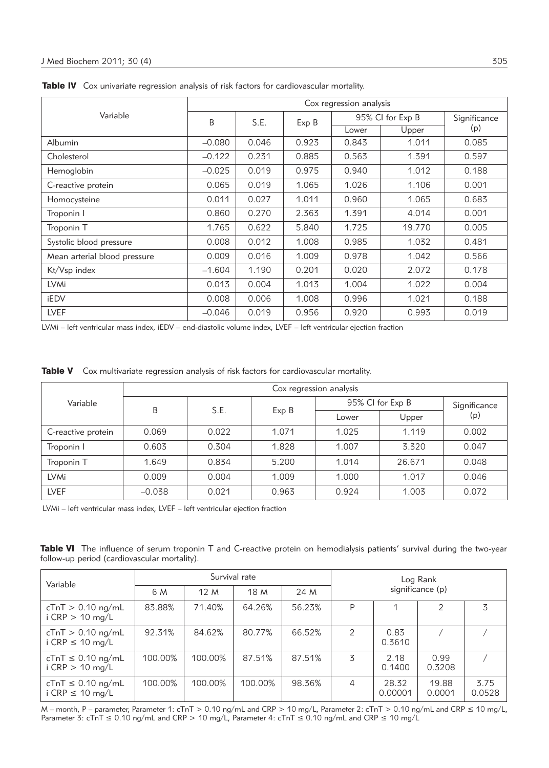|                              | Cox regression analysis |       |       |                  |              |       |  |  |
|------------------------------|-------------------------|-------|-------|------------------|--------------|-------|--|--|
| Variable                     | B                       | S.E.  | Exp B | 95% CI for Exp B | Significance |       |  |  |
|                              |                         |       |       | Lower            | Upper        | (p)   |  |  |
| <b>Albumin</b>               | $-0.080$                | 0.046 | 0.923 | 0.843            | 1.011        | 0.085 |  |  |
| Cholesterol                  | $-0.122$                | 0.231 | 0.885 | 0.563            | 1.391        | 0.597 |  |  |
| Hemoglobin                   | $-0.025$                | 0.019 | 0.975 | 0.940            | 1.012        | 0.188 |  |  |
| C-reactive protein           | 0.065                   | 0.019 | 1.065 | 1.026            | 1.106        | 0.001 |  |  |
| Homocysteine                 | 0.011                   | 0.027 | 1.011 | 0.960            | 1.065        | 0.683 |  |  |
| Troponin I                   | 0.860                   | 0.270 | 2.363 | 1.391            | 4.014        | 0.001 |  |  |
| Troponin T                   | 1.765                   | 0.622 | 5.840 | 1.725            | 19.770       | 0.005 |  |  |
| Systolic blood pressure      | 0.008                   | 0.012 | 1.008 | 0.985            | 1.032        | 0.481 |  |  |
| Mean arterial blood pressure | 0.009                   | 0.016 | 1.009 | 0.978            | 1.042        | 0.566 |  |  |
| Kt/Vsp index                 | $-1.604$                | 1.190 | 0.201 | 0.020            | 2.072        | 0.178 |  |  |
| <b>LVMi</b>                  | 0.013                   | 0.004 | 1.013 | 1.004            | 1.022        | 0.004 |  |  |
| iEDV                         | 0.008                   | 0.006 | 1.008 | 0.996            | 1.021        | 0.188 |  |  |
| <b>LVEF</b>                  | $-0.046$                | 0.019 | 0.956 | 0.920            | 0.993        | 0.019 |  |  |

Table IV Cox univariate regression analysis of risk factors for cardiovascular mortality.

LVMi – left ventricular mass index, iEDV – end-diastolic volume index, LVEF – left ventricular ejection fraction

|  | Table V Cox multivariate regression analysis of risk factors for cardiovascular mortality. |  |  |  |  |  |  |
|--|--------------------------------------------------------------------------------------------|--|--|--|--|--|--|
|--|--------------------------------------------------------------------------------------------|--|--|--|--|--|--|

| Variable           | Cox regression analysis |                    |       |                  |        |              |  |
|--------------------|-------------------------|--------------------|-------|------------------|--------|--------------|--|
|                    |                         | S.E.<br>Β<br>Exp B |       | 95% CI for Exp B |        | Significance |  |
|                    |                         |                    |       | Lower            | Upper  | (p)          |  |
| C-reactive protein | 0.069                   | 0.022              | 1.071 | 1.025            | 1.119  | 0.002        |  |
| Troponin I         | 0.603                   | 0.304              | 1.828 | 1.007            | 3.320  | 0.047        |  |
| Troponin T         | 1.649                   | 0.834              | 5.200 | 1.014            | 26.671 | 0.048        |  |
| <b>LVMi</b>        | 0.009                   | 0.004              | 1.009 | 1.000            | 1.017  | 0.046        |  |
| <b>LVEF</b>        | $-0.038$                | 0.021              | 0.963 | 0.924            | 1.003  | 0.072        |  |

LVMi – left ventricular mass index, LVEF – left ventricular ejection fraction

Table VI The influence of serum troponin T and C-reactive protein on hemodialysis patients' survival during the two-year follow-up period (cardiovascular mortality).

| Variable                                       |         |         | Survival rate |        | Log Rank         |                  |                 |                |
|------------------------------------------------|---------|---------|---------------|--------|------------------|------------------|-----------------|----------------|
|                                                | 6 M     | 12 M    | 18 M          | 24 M   | significance (p) |                  |                 |                |
| $cTnT > 0.10$ ng/mL<br>i CRP $> 10$ mg/L       | 83.88%  | 71.40%  | 64.26%        | 56.23% | P                |                  | 2               | 3              |
| $cTnT > 0.10$ ng/mL<br>i CRP $\leq$ 10 mg/L    | 92.31%  | 84.62%  | 80.77%        | 66.52% | 2                | 0.83<br>0.3610   |                 |                |
| $cTnT \leq 0.10$ ng/mL<br>i CRP $> 10$ mg/L    | 100.00% | 100.00% | 87.51%        | 87.51% | 3                | 2.18<br>0.1400   | 0.99<br>0.3208  |                |
| $cTnT \leq 0.10$ ng/mL<br>i CRP $\leq$ 10 mg/L | 100.00% | 100.00% | 100.00%       | 98.36% | $\overline{4}$   | 28.32<br>0.00001 | 19.88<br>0.0001 | 3.75<br>0.0528 |

M – month, P – parameter, Parameter 1: cTnT > 0.10 ng/mL and CRP > 10 mg/L, Parameter 2: cTnT > 0.10 ng/mL and CRP ≤ 10 mg/L, Parameter 3:  $\text{CTrT} \leq 0.10 \text{ ng/mL}$  and  $\text{CRP} > 10 \text{ mg/L}$ , Parameter 4:  $\text{CTrT} \leq 0.10 \text{ ng/mL}$  and  $\text{CRP} \leq 10 \text{ mg/L}$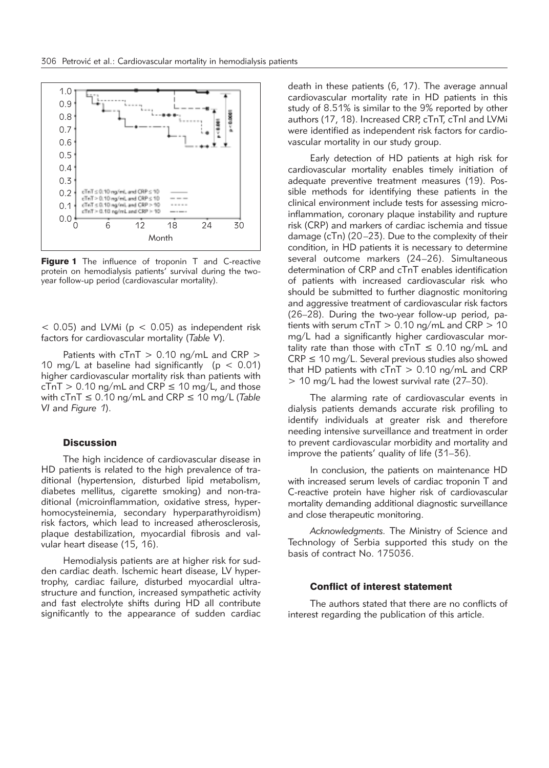

Figure 1 The influence of troponin T and C-reactive protein on hemodialysis patients' survival during the twoyear follow-up period (cardiovascular mortality).

 $<$  0.05) and LVMi ( $p <$  0.05) as independent risk factors for cardiovascular mortality (*Table V*).

Patients with  $cTnT > 0.10$  ng/mL and CRP  $>$ 10 mg/L at baseline had significantly ( $p < 0.01$ ) higher cardiovascular mortality risk than patients with  $cTnT > 0.10$  ng/mL and CRP  $\leq 10$  mg/L, and those with cTnT ≤ 0.10 ng/mL and CRP ≤ 10 mg/L (*Table VI* and *Figure 1*).

### **Discussion**

The high incidence of cardiovascular disease in HD patients is related to the high prevalence of traditional (hypertension, disturbed lipid metabolism, diabetes mellitus, cigarette smoking) and non-traditional (microinflammation, oxidative stress, hyperhomocysteinemia, secondary hyperparathyroidism) risk factors, which lead to increased atherosclerosis, plaque destabilization, myocardial fibrosis and valvular heart disease (15, 16).

Hemodialysis patients are at higher risk for sudden cardiac death. Ischemic heart disease, LV hypertrophy, cardiac failure, disturbed myocardial ultrastructure and function, increased sympathetic activity and fast electrolyte shifts during HD all contribute significantly to the appearance of sudden cardiac death in these patients (6, 17). The average annual cardiovascular mortality rate in HD patients in this study of 8.51% is similar to the 9% reported by other authors (17, 18). Increased CRP, cTnT, cTnI and LVMi were identified as independent risk factors for cardiovascular mortality in our study group.

Early detection of HD patients at high risk for cardiovascular mortality enables timely initiation of adequate preventive treatment measures (19). Possible methods for identifying these patients in the clinical environment include tests for assessing microinflammation, coronary plaque instability and rupture risk (CRP) and markers of cardiac ischemia and tissue damage (cTn) (20–23). Due to the complexity of their condition, in HD patients it is necessary to determine several outcome markers (24–26). Simultaneous determination of CRP and cTnT enables identification of patients with increased cardiovascular risk who should be submitted to further diagnostic monitoring and aggressive treatment of cardiovascular risk factors  $(26-28)$ . During the two-year follow-up period, patients with serum  $cTnT > 0.10$  ng/mL and CRP  $> 10$ mg/L had a significantly higher cardiovascular mortality rate than those with  $cTnT \leq 0.10$  ng/mL and  $CRP \le 10$  mg/L. Several previous studies also showed that HD patients with  $cTnT > 0.10$  ng/mL and CRP > 10 mg/L had the lowest survival rate (27–30).

The alarming rate of cardiovascular events in dialysis patients demands accurate risk profiling to identify individuals at greater risk and therefore needing intensive surveillance and treatment in order to prevent cardiovascular morbidity and mortality and improve the patients' quality of life (31–36).

In conclusion, the patients on maintenance HD with increased serum levels of cardiac troponin T and C-reactive protein have higher risk of cardiovascular mortality demanding additional diagnostic surveillance and close therapeutic monitoring.

*Acknowledgments.* The Ministry of Science and Technology of Serbia supported this study on the basis of contract No. 175036.

# Conflict of interest statement

The authors stated that there are no conflicts of interest regarding the publication of this article.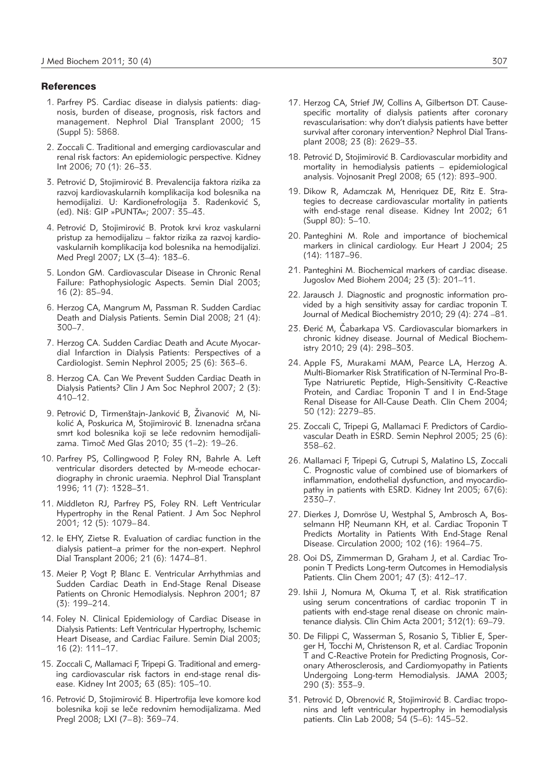#### **References**

- 1. Parfrey PS. Cardiac disease in dialysis patients: diag nosis, burden of disease, prognosis, risk factors and management. Nephrol Dial Transplant 2000; 15 (Suppl 5): 5868.
- 2. Zoccali C. Traditional and emerging cardiovascular and renal risk factors: An epidemiologic perspective. Kidney Int 2006; 70 (1): 26–33.
- 3. Petrović D, Stojimirović B. Prevalencija faktora rizika za razvoj kardiovaskularnih komplikacija kod bolesnika na hemodijalizi. U: Kardionefrologija 3. Radenković S, (ed). Niš: GIP »PUNTA«; 2007: 35-43.
- 4. Petrović D, Stojimirović B. Protok krvi kroz vaskularni pristup za hemodijalizu – faktor rizika za razvoj kardiovas kularnih komplikacija kod bolesnika na hemodijalizi. Med Pregl 2007; LX (3–4): 183–6.
- 5. London GM. Cardiovascular Disease in Chronic Renal Failure: Pathophysiologic Aspects. Semin Dial 2003; 16 (2): 85–94.
- 6. Herzog CA, Mangrum M, Passman R. Sudden Cardiac Death and Dialysis Patients. Semin Dial 2008; 21 (4): 300–7.
- 7. Herzog CA. Sudden Cardiac Death and Acute Myocardial Infarction in Dialysis Patients: Perspectives of a Cardiologist. Semin Nephrol 2005; 25 (6): 363–6.
- 8. Herzog CA. Can We Prevent Sudden Cardiac Death in Dialysis Patients? Clin J Am Soc Nephrol 2007; 2 (3): 410–12.
- 9. Petrović D, Tirmenštajn-Janković B, Živanović M, Nikolić A, Poskurica M, Stojimirović B. Iznenadna srčana smrt kod bolesnika koji se leče redovnim hemodijalizama. Timoč Med Glas 2010; 35 (1-2): 19-26.
- 10. Parfrey PS, Collingwood P, Foley RN, Bahrle A. Left ventricular disorders detected by M-meode echocardiography in chronic uraemia. Nephrol Dial Transplant 1996; 11 (7): 1328–31.
- 11. Middleton RJ, Parfrey PS, Foley RN. Left Ventricular Hypertrophy in the Renal Patient. J Am Soc Nephrol 2001; 12 (5): 1079–84.
- 12. Ie EHY, Zietse R. Evaluation of cardiac function in the dialysis patient–a primer for the non-expert. Nephrol Dial Transplant 2006; 21 (6): 1474–81.
- 13. Meier P, Vogt P, Blanc E. Ventricular Arrhythmias and Sudden Cardiac Death in End-Stage Renal Disease Patients on Chronic Hemodialysis. Nephron 2001; 87 (3): 199–214.
- 14. Foley N. Clinical Epidemiology of Cardiac Disease in Dialysis Patients: Left Ventricular Hypertrophy, Ischemic Heart Disease, and Cardiac Failure. Semin Dial 2003; 16 (2): 111–17.
- 15. Zoccali C, Mallamaci F, Tripepi G. Traditional and emerging cardiovascular risk factors in end-stage renal disease. Kidney Int 2003; 63 (85): 105–10.
- 16. Petrović D, Stojimirović B. Hipertrofija leve komore kod bolesnika koji se leče redovnim hemodijalizama. Med Pregl 2008; LXI (7–8): 369–74.
- 17. Herzog CA, Strief JW, Collins A, Gilbertson DT. Causespecific mortality of dialysis patients after coronary revascularisation: why don't dialysis patients have better survival after coronary intervention? Nephrol Dial Transplant 2008; 23 (8): 2629–33.
- 18. Petrović D, Stojimirović B. Cardiovascular morbidity and mortality in hemodialysis patients – epidemiological analysis. Vojnosanit Pregl 2008; 65 (12): 893–900.
- 19. Dikow R, Adamczak M, Henriquez DE, Ritz E. Strategies to decrease cardiovascular mortality in patients with end-stage renal disease. Kidney Int 2002; 61 (Suppl 80): 5–10.
- 20. Panteghini M. Role and importance of biochemical markers in clinical cardiology. Eur Heart J 2004; 25 (14): 1187–96.
- 21. Panteghini M. Biochemical markers of cardiac disease. Jugoslov Med Biohem 2004; 23 (3): 201–11.
- 22. Jarausch J. Diagnostic and prognostic information provided by a high sensitivity assay for cardiac troponin T. Journal of Medical Biochemistry 2010; 29 (4): 274 –81.
- 23. Đerić M, Čabarkapa VS. Cardiovascular biomarkers in chronic kidney disease. Journal of Medical Biochemistry 2010; 29 (4): 298–303.
- 24. Apple FS, Murakami MAM, Pearce LA, Herzog A. Multi-Biomarker Risk Stratification of N-Terminal Pro-B-Type Natriuretic Peptide, High-Sensitivity C-Reactive Protein, and Cardiac Troponin T and I in End-Stage Renal Disease for All-Cause Death. Clin Chem 2004; 50 (12): 2279–85.
- 25. Zoccali C, Tripepi G, Mallamaci F. Predictors of Cardiovascular Death in ESRD. Semin Nephrol 2005; 25 (6): 358–62.
- 26. Mallamaci F, Tripepi G, Cutrupi S, Malatino LS, Zoccali C. Prognostic value of combined use of biomarkers of inflammation, endothelial dysfunction, and myocardiopathy in patients with ESRD. Kidney Int 2005; 67(6): 2330–7.
- 27. Dierkes J, Domröse U, Westphal S, Ambrosch A, Bosselmann HP, Neumann KH, et al. Cardiac Troponin T Predicts Mortality in Patients With End-Stage Renal Disease. Circulation 2000; 102 (16): 1964–75.
- 28. Ooi DS, Zimmerman D, Graham J, et al. Cardiac Troponin T Predicts Long-term Outcomes in Hemodialysis Patients. Clin Chem 2001; 47 (3): 412–17.
- 29. Ishii J, Nomura M, Okuma T, et al. Risk stratification using serum concentrations of cardiac troponin T in patients with end-stage renal disease on chronic maintenance dialysis. Clin Chim Acta 2001; 312(1): 69–79.
- 30. De Filippi C, Wasserman S, Rosanio S, Tiblier E, Sper ger H, Tocchi M, Christenson R, et al. Cardiac Troponin T and C-Reactive Protein for Predicting Prognosis, Coronary Atherosclerosis, and Cardiomyopathy in Patients Undergoing Long-term Hemodialysis. JAMA 2003; 290 (3): 353–9.
- 31. Petrović D, Obrenović R, Stojimirović B. Cardiac troponins and left ventricular hypertrophy in hemodialysis patients. Clin Lab 2008; 54 (5–6): 145–52.